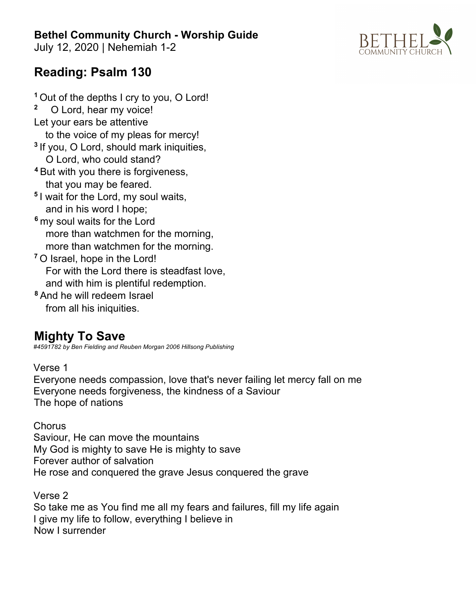July 12, 2020 | Nehemiah 1-2



# **Reading: Psalm 130**

**<sup>1</sup>** Out of the depths I cry to you, O Lord! **<sup>2</sup>** O Lord, hear my voice! Let your ears be attentive to the voice of my pleas for mercy! **<sup>3</sup>** If you, O Lord, should mark iniquities, O Lord, who could stand? **<sup>4</sup>** But with you there is forgiveness, that you may be feared. **<sup>5</sup>** I wait for the Lord, my soul waits, and in his word I hope; **<sup>6</sup>** my soul waits for the Lord more than watchmen for the morning, more than watchmen for the morning. **<sup>7</sup>** O Israel, hope in the Lord! For with the Lord there is steadfast love, and with him is plentiful redemption. **<sup>8</sup>** And he will redeem Israel from all his iniquities.

# **Mighty To Save**

*#4591782 by Ben Fielding and Reuben Morgan 2006 Hillsong Publishing*

Verse 1

Everyone needs compassion, love that's never failing let mercy fall on me Everyone needs forgiveness, the kindness of a Saviour The hope of nations

**Chorus** Saviour, He can move the mountains My God is mighty to save He is mighty to save Forever author of salvation He rose and conquered the grave Jesus conquered the grave

Verse 2 So take me as You find me all my fears and failures, fill my life again I give my life to follow, everything I believe in Now I surrender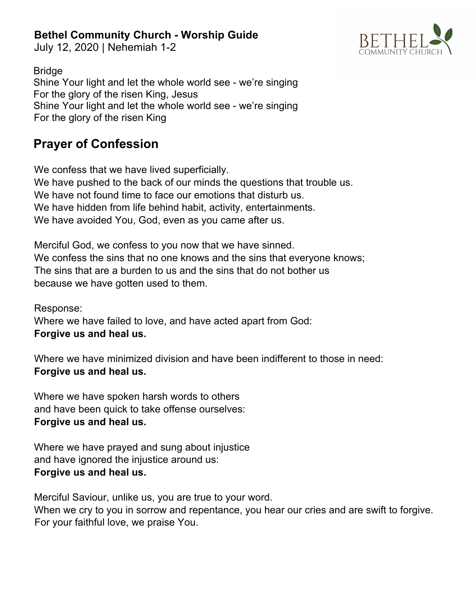July 12, 2020 | Nehemiah 1-2



**Bridge** Shine Your light and let the whole world see - we're singing For the glory of the risen King, Jesus Shine Your light and let the whole world see - we're singing For the glory of the risen King

### **Prayer of Confession**

We confess that we have lived superficially. We have pushed to the back of our minds the questions that trouble us. We have not found time to face our emotions that disturb us. We have hidden from life behind habit, activity, entertainments. We have avoided You, God, even as you came after us.

Merciful God, we confess to you now that we have sinned. We confess the sins that no one knows and the sins that everyone knows; The sins that are a burden to us and the sins that do not bother us because we have gotten used to them.

Response: Where we have failed to love, and have acted apart from God: **Forgive us and heal us.**

Where we have minimized division and have been indifferent to those in need: **Forgive us and heal us.**

Where we have spoken harsh words to others and have been quick to take offense ourselves: **Forgive us and heal us.**

Where we have prayed and sung about injustice and have ignored the injustice around us: **Forgive us and heal us.**

Merciful Saviour, unlike us, you are true to your word. When we cry to you in sorrow and repentance, you hear our cries and are swift to forgive. For your faithful love, we praise You.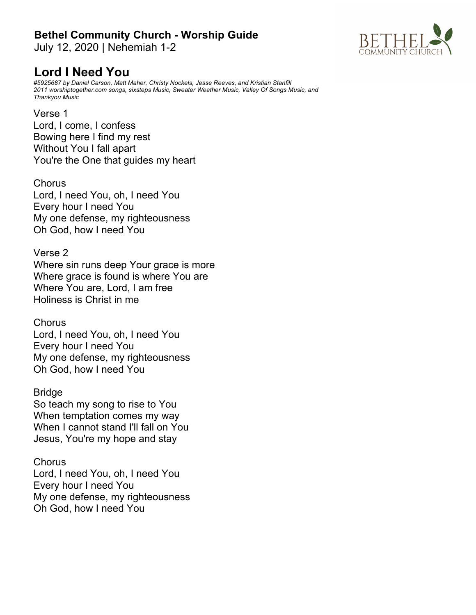July 12, 2020 | Nehemiah 1-2



### **Lord I Need You**

*#5925687 by Daniel Carson, Matt Maher, Christy Nockels, Jesse Reeves, and Kristian Stanfill 2011 worshiptogether.com songs, sixsteps Music, Sweater Weather Music, Valley Of Songs Music, and Thankyou Music*

Verse 1 Lord, I come, I confess Bowing here I find my rest Without You I fall apart You're the One that guides my heart

**Chorus** Lord, I need You, oh, I need You Every hour I need You My one defense, my righteousness Oh God, how I need You

Verse 2 Where sin runs deep Your grace is more Where grace is found is where You are Where You are, Lord, I am free Holiness is Christ in me

**Chorus** Lord, I need You, oh, I need You Every hour I need You My one defense, my righteousness Oh God, how I need You

Bridge So teach my song to rise to You When temptation comes my way When I cannot stand I'll fall on You Jesus, You're my hope and stay

**Chorus** Lord, I need You, oh, I need You Every hour I need You My one defense, my righteousness Oh God, how I need You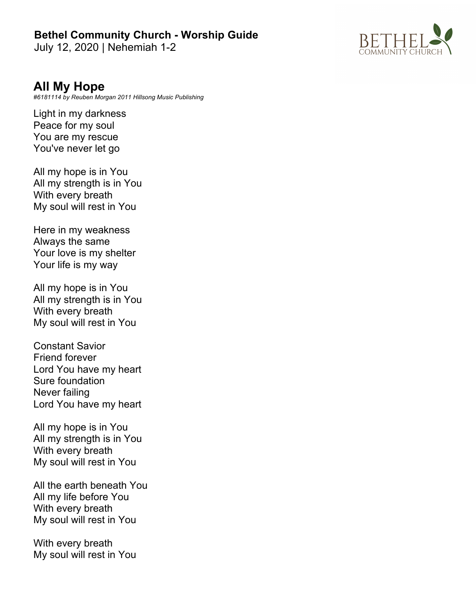July 12, 2020 | Nehemiah 1-2



### **All My Hope**

*#6181114 by Reuben Morgan 2011 Hillsong Music Publishing*

Light in my darkness Peace for my soul You are my rescue You've never let go

All my hope is in You All my strength is in You With every breath My soul will rest in You

Here in my weakness Always the same Your love is my shelter Your life is my way

All my hope is in You All my strength is in You With every breath My soul will rest in You

Constant Savior Friend forever Lord You have my heart Sure foundation Never failing Lord You have my heart

All my hope is in You All my strength is in You With every breath My soul will rest in You

All the earth beneath You All my life before You With every breath My soul will rest in You

With every breath My soul will rest in You